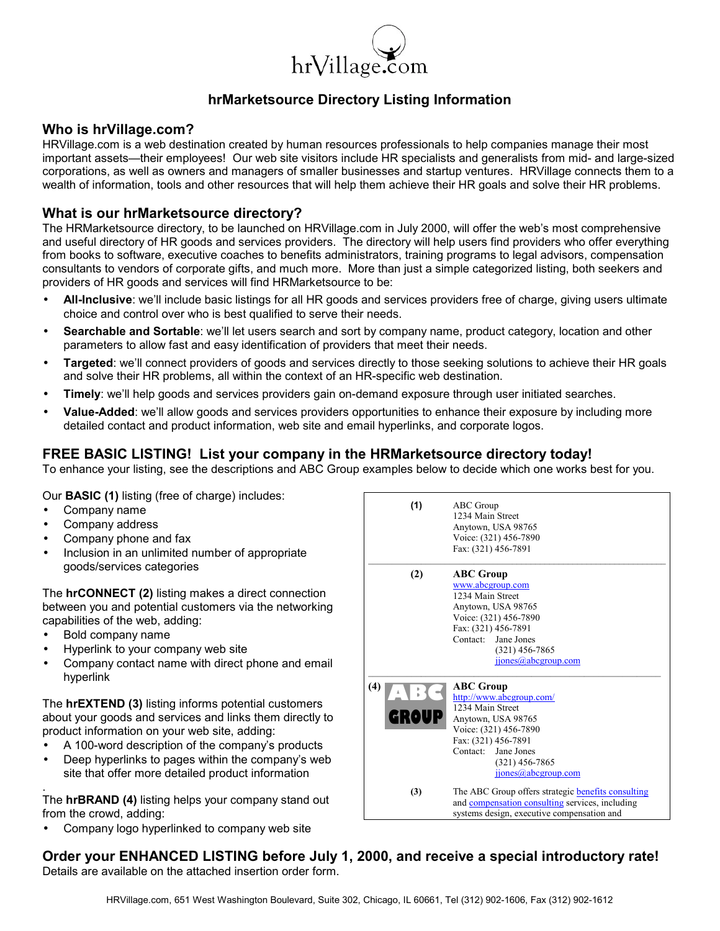

# **hrMarketsource Directory Listing Information**

## **Who is hrVillage.com?**

HRVillage.com is a web destination created by human resources professionals to help companies manage their most important assets—their employees! Our web site visitors include HR specialists and generalists from mid- and large-sized corporations, as well as owners and managers of smaller businesses and startup ventures. HRVillage connects them to a wealth of information, tools and other resources that will help them achieve their HR goals and solve their HR problems.

## **What is our hrMarketsource directory?**

The HRMarketsource directory, to be launched on HRVillage.com in July 2000, will offer the webís most comprehensive and useful directory of HR goods and services providers. The directory will help users find providers who offer everything from books to software, executive coaches to benefits administrators, training programs to legal advisors, compensation consultants to vendors of corporate gifts, and much more. More than just a simple categorized listing, both seekers and providers of HR goods and services will find HRMarketsource to be:

- **All-Inclusive**: weíll include basic listings for all HR goods and services providers free of charge, giving users ultimate choice and control over who is best qualified to serve their needs.
- **Searchable and Sortable**: weíll let users search and sort by company name, product category, location and other parameters to allow fast and easy identification of providers that meet their needs.
- **Targeted:** we'll connect providers of goods and services directly to those seeking solutions to achieve their HR goals and solve their HR problems, all within the context of an HR-specific web destination.
- **Timely**: weíll help goods and services providers gain on-demand exposure through user initiated searches.
- **Value-Added**: weíll allow goods and services providers opportunities to enhance their exposure by including more detailed contact and product information, web site and email hyperlinks, and corporate logos.

## **FREE BASIC LISTING! List your company in the HRMarketsource directory today!**

To enhance your listing, see the descriptions and ABC Group examples below to decide which one works best for you.

Our **BASIC (1)** listing (free of charge) includes:

- Company name
- Company address
- Company phone and fax
- Inclusion in an unlimited number of appropriate goods/services categories

The **hrCONNECT (2)** listing makes a direct connection between you and potential customers via the networking capabilities of the web, adding:

- Bold company name
- Hyperlink to your company web site
- Company contact name with direct phone and email hyperlink

The **hrEXTEND (3)** listing informs potential customers about your goods and services and links them directly to product information on your web site, adding:

- A 100-word description of the companyís products
- Deep hyperlinks to pages within the company's web site that offer more detailed product information

. The **hrBRAND (4)** listing helps your company stand out from the crowd, adding:

• Company logo hyperlinked to company web site



## **Order your ENHANCED LISTING before July 1, 2000, and receive a special introductory rate!** Details are available on the attached insertion order form.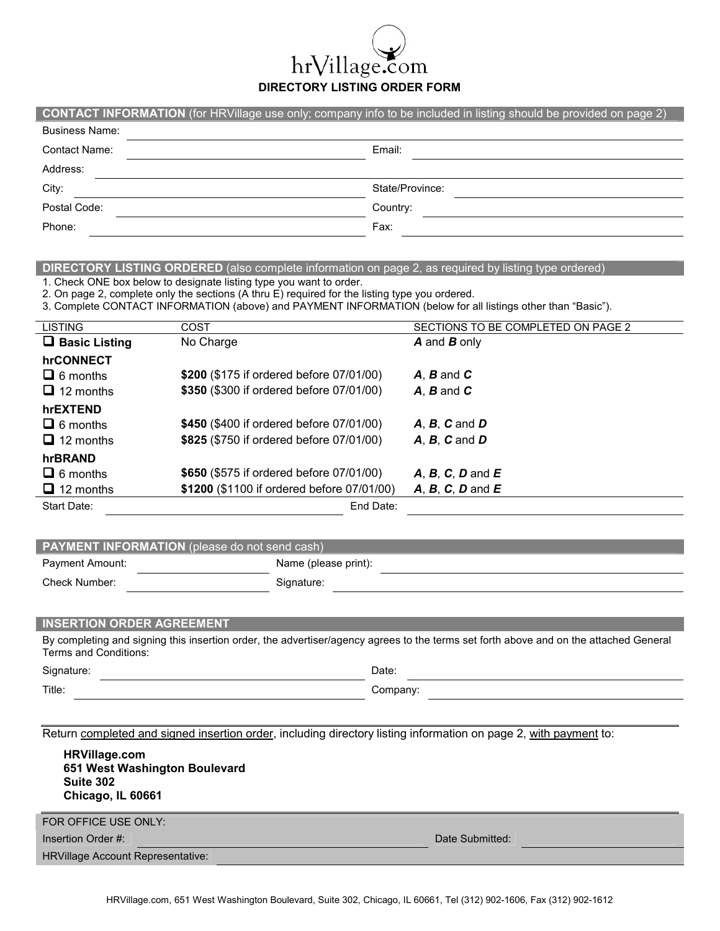**DIRECTORY LISTING ORDER FORM** 

Village.com

hr

|                       | <b>CONTACT INFORMATION</b> (for HRVillage use only; company info to be included in listing should be provided on page 2) |
|-----------------------|--------------------------------------------------------------------------------------------------------------------------|
| <b>Business Name:</b> |                                                                                                                          |
| <b>Contact Name:</b>  | Email:                                                                                                                   |
| Address:              |                                                                                                                          |
| City:                 | State/Province:                                                                                                          |
| Postal Code:          | Country:                                                                                                                 |
| Phone:                | Fax:                                                                                                                     |

### **DIRECTORY LISTING ORDERED** (also complete information on page 2, as required by listing type ordered)

1. Check ONE box below to designate listing type you want to order.

2. On page 2, complete only the sections (A thru E) required for the listing type you ordered.

3. Complete CONTACT INFORMATION (above) and PAYMENT INFORMATION (below for all listings other than "Basic").

| <b>LISTING</b>       | COST                                       | SECTIONS TO BE COMPLETED ON PAGE 2 |
|----------------------|--------------------------------------------|------------------------------------|
| $\Box$ Basic Listing | No Charge                                  | <b>A</b> and <b>B</b> only         |
| hrCONNECT            |                                            |                                    |
| $\Box$ 6 months      | \$200 (\$175 if ordered before 07/01/00)   | $A, B$ and $C$                     |
| $\Box$ 12 months     | \$350 (\$300 if ordered before 07/01/00)   | $A, B$ and $C$                     |
| hrEXTEND             |                                            |                                    |
| $\Box$ 6 months      | \$450 (\$400 if ordered before 07/01/00)   | $A, B, C$ and $D$                  |
| $\Box$ 12 months     | \$825 (\$750 if ordered before 07/01/00)   | $A, B, C$ and $D$                  |
| hrBRAND              |                                            |                                    |
| $\Box$ 6 months      | \$650 (\$575 if ordered before 07/01/00)   | $A, B, C, D$ and $E$               |
| $\Box$ 12 months     | \$1200 (\$1100 if ordered before 07/01/00) | $A, B, C, D$ and $E$               |
| Start Date:          | End Date:                                  |                                    |

| <b>PAYMENT INFORMATION</b> (please do not send cash) |                      |  |  |  |
|------------------------------------------------------|----------------------|--|--|--|
| Payment Amount:                                      | Name (please print): |  |  |  |
| Check Number:                                        | Signature:           |  |  |  |

#### **INSERTION ORDER AGREEMENT**

By completing and signing this insertion order, the advertiser/agency agrees to the terms set forth above and on the attached General Terms and Conditions:

Signature: Date: Date: Date: Date: Date: Date: Date: Date: Date: Date: Date: Date: Date: Date: Date: Date: Date: Date: Date: Date: Date: Date: Date: Date: Date: Date: Date: Date: Date: Date: Date: Date: Date: Date: Date: D

I

| Signature: | Date:    |
|------------|----------|
| Title:     | Company: |

Return completed and signed insertion order, including directory listing information on page 2, with payment to:

| <b>HRVillage.com</b><br>651 West Washington Boulevard<br>Suite 302<br>Chicago, IL 60661 |                 |
|-----------------------------------------------------------------------------------------|-----------------|
| FOR OFFICE USE ONLY:                                                                    |                 |
| Insertion Order #:                                                                      | Date Submitted: |
| <b>HRVillage Account Representative:</b>                                                |                 |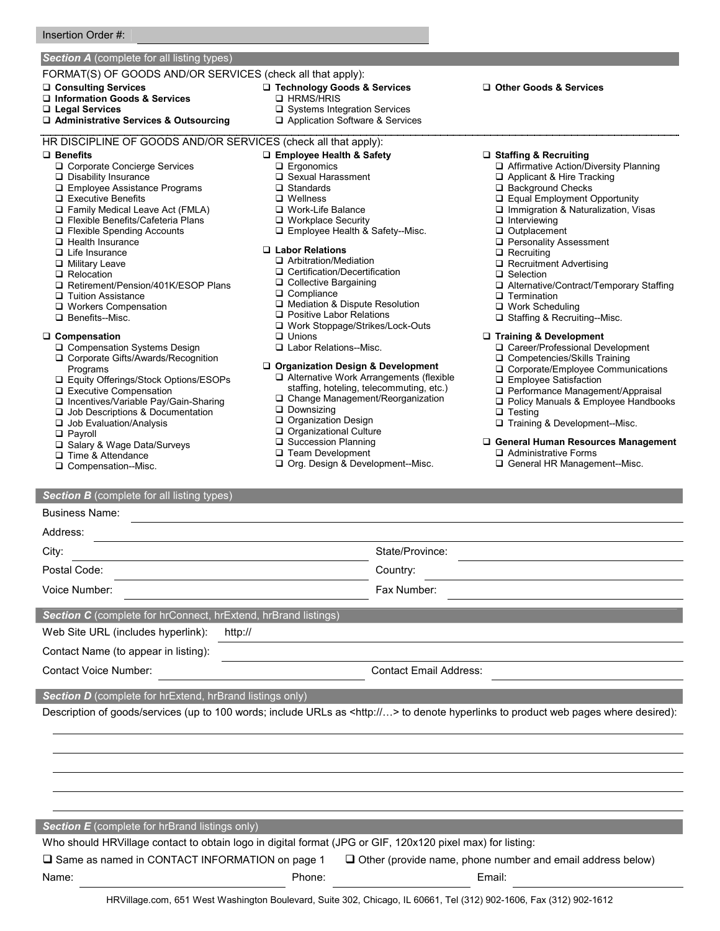## **Section A** (complete for all listing types)

#### FORMAT(S) OF GOODS AND/OR SERVICES (check all that apply):

- -**Consulting Services**
- □ Information Goods & Services
- -**Legal Services**
- -**Administrative Services & Outsourcing**

### HR DISCIPLINE OF GOODS AND/OR SERVICES (check all that apply):

#### -**Benefits**

- □ Corporate Concierge Services
- Disability Insurance
- □ Employee Assistance Programs
- □ Executive Benefits
- □ Family Medical Leave Act (FMLA)
- □ Flexible Benefits/Cafeteria Plans
- □ Flexible Spending Accounts
- □ Health Insurance
- □ Life Insurance
- □ Military Leave
- **Q** Relocation
- □ Retirement/Pension/401K/ESOP Plans
- **Tuition Assistance**
- □ Workers Compensation
- □ Benefits--Misc.

#### -**Compensation**

- □ Compensation Systems Design
- □ Corporate Gifts/Awards/Recognition Programs
- □ Equity Offerings/Stock Options/ESOPs
- □ Executive Compensation
- □ Incentives/Variable Pay/Gain-Sharing
- □ Job Descriptions & Documentation
- □ Job Evaluation/Analysis
- □ Payroll

Business Name:

- □ Salary & Wage Data/Surveys
- Time & Attendance
- □ Compensation--Misc.
- 

## -**Employee Health & Safety**

□ Technology Goods & Services

□ Systems Integration Services □ Application Software & Services

□ Ergonomics

□ HRMS/HRIS

- □ Sexual Harassment
- □ Standards
- □ Wellness
- □ Work-Life Balance
- □ Workplace Security
- □ Employee Health & Safety--Misc.

### -**Labor Relations**

- □ Arbitration/Mediation
- □ Certification/Decertification
- □ Collective Bargaining
- □ Compliance
- □ Mediation & Dispute Resolution
- □ Positive Labor Relations
- □ Work Stoppage/Strikes/Lock-Outs
- □ Unions
- □ Labor Relations--Misc.

#### -**Organization Design & Development**

- □ Alternative Work Arrangements (flexible
- staffing, hoteling, telecommuting, etc.)
- □ Change Management/Reorganization
- **Q** Downsizing
- □ Organization Design Organizational Culture
- □ Succession Planning
- **Team Development**
- □ Org. Design & Development--Misc.

-**Other Goods & Services**

### -**Staffing & Recruiting**

- □ Affirmative Action/Diversity Planning
- Applicant & Hire Tracking
- □ Background Checks
- □ Equal Employment Opportunity
- □ Immigration & Naturalization, Visas
- nterviewing
- □ Outplacement
- **Q** Personality Assessment
- **Q** Recruiting
- □ Recruitment Advertising
- □ Selection
- □ Alternative/Contract/Temporary Staffing
- **D** Termination
- □ Work Scheduling
- □ Staffing & Recruiting--Misc.

### -**Training & Development**

- □ Career/Professional Development
- □ Competencies/Skills Training
- □ Corporate/Employee Communications
- □ Employee Satisfaction
- □ Performance Management/Appraisal
- □ Policy Manuals & Employee Handbooks
- □ Testing
- □ Training & Development--Misc.

### -**General Human Resources Management**

- □ Administrative Forms
- □ General HR Management--Misc.

### **Section B** (complete for all listing types)

| <b>Business Name:</b> |  |
|-----------------------|--|
| Addroce:              |  |
|                       |  |

| Address:      |                 |  |
|---------------|-----------------|--|
| City:         | State/Province: |  |
| Postal Code:  | Country:        |  |
| Voice Number: | Fax Number:     |  |
|               |                 |  |

Description of goods/services (up to 100 words; include URLs as <http://...> to denote hyperlinks to product web pages where desired):

HRVillage.com, 651 West Washington Boulevard, Suite 302, Chicago, IL 60661, Tel (312) 902-1606, Fax (312) 902-1612

 $\Box$  Same as named in CONTACT INFORMATION on page 1  $\Box$  Other (provide name, phone number and email address below)

Who should HRVillage contact to obtain logo in digital format (JPG or GIF, 120x120 pixel max) for listing:

Name: Phone: Email:

**Section C** (complete for hrConnect, hrExtend, hrBrand listings)

**Section D** (complete for hrExtend, hrBrand listings only)

**Section E** (complete for hrBrand listings only)

Web Site URL (includes hyperlink): http://

Contact Name (to appear in listing):

Contact Voice Number: Contact Email Address: